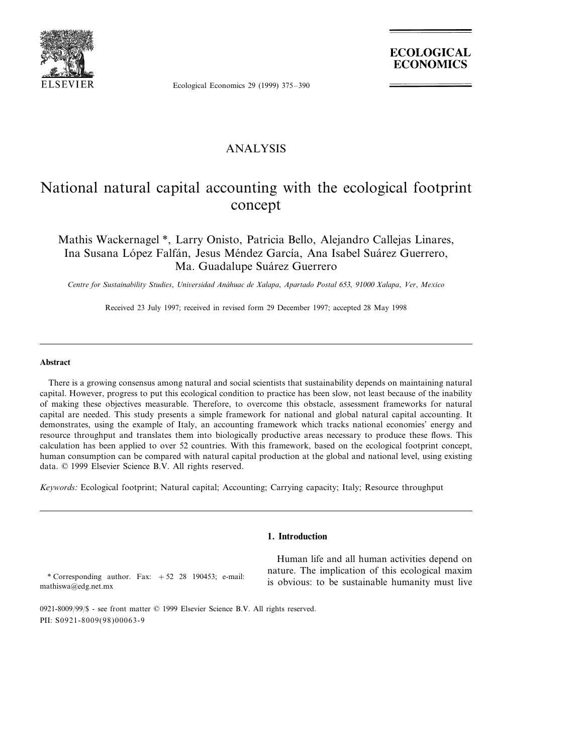

**ECOLOGICAL ECONOMICS** 

Ecological Economics 29 (1999) 375–390

# ANALYSIS

# National natural capital accounting with the ecological footprint concept

Mathis Wackernagel \*, Larry Onisto, Patricia Bello, Alejandro Callejas Linares, Ina Susana López Falfán, Jesus Méndez García, Ana Isabel Suárez Guerrero, Ma. Guadalupe Suárez Guerrero

*Centre for Sustainability Studies*, *Uni*6*ersidad Ana´huac de Xalapa*, *Apartado Postal* <sup>653</sup>, <sup>91000</sup> *Xalapa*, *Ver*, *Mexico*

Received 23 July 1997; received in revised form 29 December 1997; accepted 28 May 1998

#### **Abstract**

There is a growing consensus among natural and social scientists that sustainability depends on maintaining natural capital. However, progress to put this ecological condition to practice has been slow, not least because of the inability of making these objectives measurable. Therefore, to overcome this obstacle, assessment frameworks for natural capital are needed. This study presents a simple framework for national and global natural capital accounting. It demonstrates, using the example of Italy, an accounting framework which tracks national economies' energy and resource throughput and translates them into biologically productive areas necessary to produce these flows. This calculation has been applied to over 52 countries. With this framework, based on the ecological footprint concept, human consumption can be compared with natural capital production at the global and national level, using existing data. © 1999 Elsevier Science B.V. All rights reserved.

*Keywords*: Ecological footprint; Natural capital; Accounting; Carrying capacity; Italy; Resource throughput

#### **1. Introduction**

mathiswa@edg.net.mx

Human life and all human activities depend on nature. The implication of this ecological maxim \* Corresponding author. Fax:  $+52$  28 190453; e-mail: is obvious: to be sustainable humanity must live  $\frac{1}{2}$  is obvious: to be sustainable humanity must live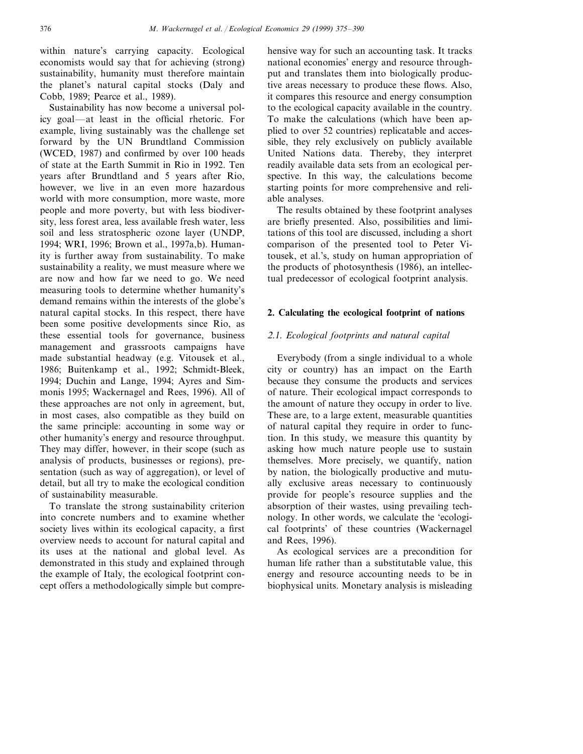within nature's carrying capacity. Ecological economists would say that for achieving (strong) sustainability, humanity must therefore maintain the planet's natural capital stocks (Daly and Cobb, 1989; Pearce et al., 1989).

Sustainability has now become a universal policy goal—at least in the official rhetoric. For example, living sustainably was the challenge set forward by the UN Brundtland Commission (WCED, 1987) and confirmed by over 100 heads of state at the Earth Summit in Rio in 1992. Ten years after Brundtland and 5 years after Rio, however, we live in an even more hazardous world with more consumption, more waste, more people and more poverty, but with less biodiversity, less forest area, less available fresh water, less soil and less stratospheric ozone layer (UNDP, 1994; WRI, 1996; Brown et al., 1997a,b). Humanity is further away from sustainability. To make sustainability a reality, we must measure where we are now and how far we need to go. We need measuring tools to determine whether humanity's demand remains within the interests of the globe's natural capital stocks. In this respect, there have been some positive developments since Rio, as these essential tools for governance, business management and grassroots campaigns have made substantial headway (e.g. Vitousek et al., 1986; Buitenkamp et al., 1992; Schmidt-Bleek, 1994; Duchin and Lange, 1994; Ayres and Simmonis 1995; Wackernagel and Rees, 1996). All of these approaches are not only in agreement, but, in most cases, also compatible as they build on the same principle: accounting in some way or other humanity's energy and resource throughput. They may differ, however, in their scope (such as analysis of products, businesses or regions), presentation (such as way of aggregation), or level of detail, but all try to make the ecological condition of sustainability measurable.

To translate the strong sustainability criterion into concrete numbers and to examine whether society lives within its ecological capacity, a first overview needs to account for natural capital and its uses at the national and global level. As demonstrated in this study and explained through the example of Italy, the ecological footprint concept offers a methodologically simple but comprehensive way for such an accounting task. It tracks national economies' energy and resource throughput and translates them into biologically productive areas necessary to produce these flows. Also, it compares this resource and energy consumption to the ecological capacity available in the country. To make the calculations (which have been applied to over 52 countries) replicatable and accessible, they rely exclusively on publicly available United Nations data. Thereby, they interpret readily available data sets from an ecological perspective. In this way, the calculations become starting points for more comprehensive and reliable analyses.

The results obtained by these footprint analyses are briefly presented. Also, possibilities and limitations of this tool are discussed, including a short comparison of the presented tool to Peter Vitousek, et al.'s, study on human appropriation of the products of photosynthesis (1986), an intellectual predecessor of ecological footprint analysis.

#### **2. Calculating the ecological footprint of nations**

#### 2.1. *Ecological footprints and natural capital*

Everybody (from a single individual to a whole city or country) has an impact on the Earth because they consume the products and services of nature. Their ecological impact corresponds to the amount of nature they occupy in order to live. These are, to a large extent, measurable quantities of natural capital they require in order to function. In this study, we measure this quantity by asking how much nature people use to sustain themselves. More precisely, we quantify, nation by nation, the biologically productive and mutually exclusive areas necessary to continuously provide for people's resource supplies and the absorption of their wastes, using prevailing technology. In other words, we calculate the 'ecological footprints' of these countries (Wackernagel and Rees, 1996).

As ecological services are a precondition for human life rather than a substitutable value, this energy and resource accounting needs to be in biophysical units. Monetary analysis is misleading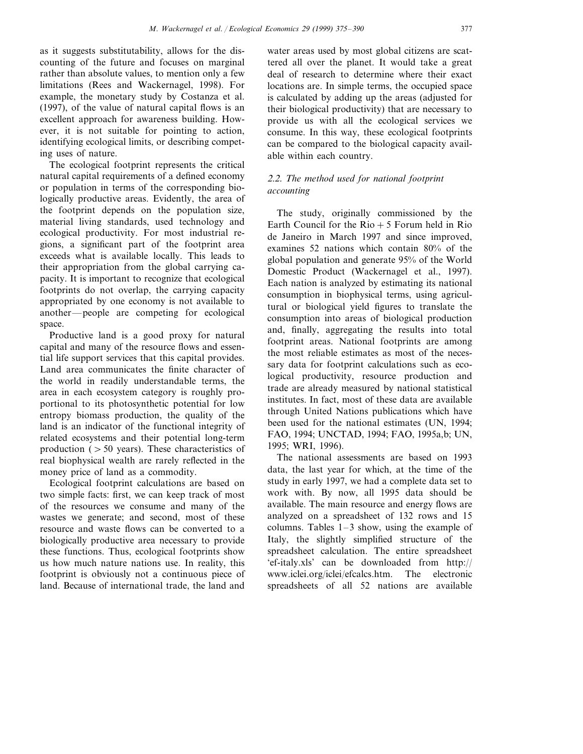as it suggests substitutability, allows for the discounting of the future and focuses on marginal rather than absolute values, to mention only a few limitations (Rees and Wackernagel, 1998). For example, the monetary study by Costanza et al. (1997), of the value of natural capital flows is an excellent approach for awareness building. However, it is not suitable for pointing to action, identifying ecological limits, or describing competing uses of nature.

The ecological footprint represents the critical natural capital requirements of a defined economy or population in terms of the corresponding biologically productive areas. Evidently, the area of the footprint depends on the population size, material living standards, used technology and ecological productivity. For most industrial regions, a significant part of the footprint area exceeds what is available locally. This leads to their appropriation from the global carrying capacity. It is important to recognize that ecological footprints do not overlap, the carrying capacity appropriated by one economy is not available to another—people are competing for ecological space.

Productive land is a good proxy for natural capital and many of the resource flows and essential life support services that this capital provides. Land area communicates the finite character of the world in readily understandable terms, the area in each ecosystem category is roughly proportional to its photosynthetic potential for low entropy biomass production, the quality of the land is an indicator of the functional integrity of related ecosystems and their potential long-term production ( $> 50$  years). These characteristics of real biophysical wealth are rarely reflected in the money price of land as a commodity.

Ecological footprint calculations are based on two simple facts: first, we can keep track of most of the resources we consume and many of the wastes we generate; and second, most of these resource and waste flows can be converted to a biologically productive area necessary to provide these functions. Thus, ecological footprints show us how much nature nations use. In reality, this footprint is obviously not a continuous piece of land. Because of international trade, the land and water areas used by most global citizens are scattered all over the planet. It would take a great deal of research to determine where their exact locations are. In simple terms, the occupied space is calculated by adding up the areas (adjusted for their biological productivity) that are necessary to provide us with all the ecological services we consume. In this way, these ecological footprints can be compared to the biological capacity available within each country.

# 2.2. *The method used for national footprint accounting*

The study, originally commissioned by the Earth Council for the  $\text{Rio} + 5$  Forum held in Rio de Janeiro in March 1997 and since improved, examines 52 nations which contain 80% of the global population and generate 95% of the World Domestic Product (Wackernagel et al., 1997). Each nation is analyzed by estimating its national consumption in biophysical terms, using agricultural or biological yield figures to translate the consumption into areas of biological production and, finally, aggregating the results into total footprint areas. National footprints are among the most reliable estimates as most of the necessary data for footprint calculations such as ecological productivity, resource production and trade are already measured by national statistical institutes. In fact, most of these data are available through United Nations publications which have been used for the national estimates (UN, 1994; FAO, 1994; UNCTAD, 1994; FAO, 1995a,b; UN, 1995; WRI, 1996).

The national assessments are based on 1993 data, the last year for which, at the time of the study in early 1997, we had a complete data set to work with. By now, all 1995 data should be available. The main resource and energy flows are analyzed on a spreadsheet of 132 rows and 15 columns. Tables 1–3 show, using the example of Italy, the slightly simplified structure of the spreadsheet calculation. The entire spreadsheet 'ef-italy.xls' can be downloaded from http:// www.iclei.org/iclei/efcalcs.htm. The electronic spreadsheets of all 52 nations are available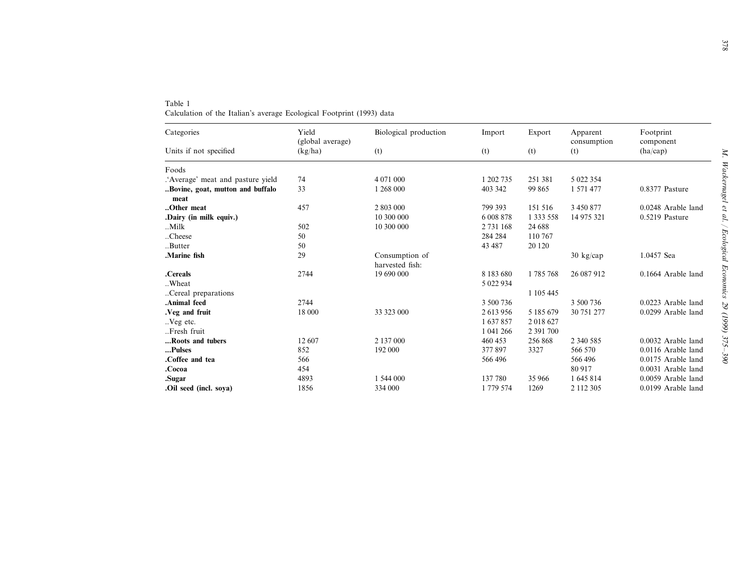| Yield   | Biological production  | Import                                                                |           |             | Footprint          |
|---------|------------------------|-----------------------------------------------------------------------|-----------|-------------|--------------------|
|         |                        |                                                                       |           | consumption | component          |
| (kg/ha) | (t)                    | (t)                                                                   | (t)       | (t)         | (ha/cap)           |
|         |                        |                                                                       |           |             |                    |
|         | 4 0 71 0 00            | 1 202 735                                                             | 251 381   | 5 022 354   |                    |
| 33      | 1 268 000              | 403 342                                                               | 99 865    | 1 571 477   | 0.8377 Pasture     |
|         |                        |                                                                       |           |             |                    |
| 457     | 2 803 000              | 799 393                                                               | 151 516   | 3 450 877   | 0.0248 Arable land |
|         | 10 300 000             | 6 008 878                                                             | 1 333 558 | 14 975 321  | 0.5219 Pasture     |
| 502     | 10 300 000             | 2 731 168                                                             | 24 688    |             |                    |
| 50      |                        | 284 284                                                               | 110 767   |             |                    |
| 50      |                        | 43 487                                                                | 20 120    |             |                    |
| 29      | Consumption of         |                                                                       |           | 30 kg/cap   | 1.0457 Sea         |
|         | harvested fish:        |                                                                       |           |             |                    |
| 2744    | 19 690 000             | 8 183 680                                                             | 1 785 768 | 26 087 912  | 0.1664 Arable land |
|         |                        | 5 022 934                                                             |           |             |                    |
|         |                        |                                                                       | 1 105 445 |             |                    |
| 2744    |                        | 3 500 736                                                             |           | 3 500 736   | 0.0223 Arable land |
| 18 000  | 33 323 000             | 2 613 956                                                             | 5 185 679 | 30 751 277  | 0.0299 Arable land |
|         |                        | 1637857                                                               | 2018627   |             |                    |
|         |                        | 1 041 266                                                             | 2 391 700 |             |                    |
| 12 607  | 2 137 000              | 460 453                                                               | 256 868   | 2 340 585   | 0.0032 Arable land |
| 852     | 192 000                | 377897                                                                | 3327      | 566 570     | 0.0116 Arable land |
| 566     |                        | 566 496                                                               |           | 566 496     | 0.0175 Arable land |
| 454     |                        |                                                                       |           | 80 917      | 0.0031 Arable land |
| 4893    | 1 544 000              | 137780                                                                | 35 966    | 1 645 814   | 0.0059 Arable land |
| 1856    | 334 000                | 1 779 574                                                             | 1269      | 2 112 305   | 0.0199 Arable land |
|         | (global average)<br>74 | Calculation of the Italian's average Ecological Footprint (1993) data |           | Export      | Apparent           |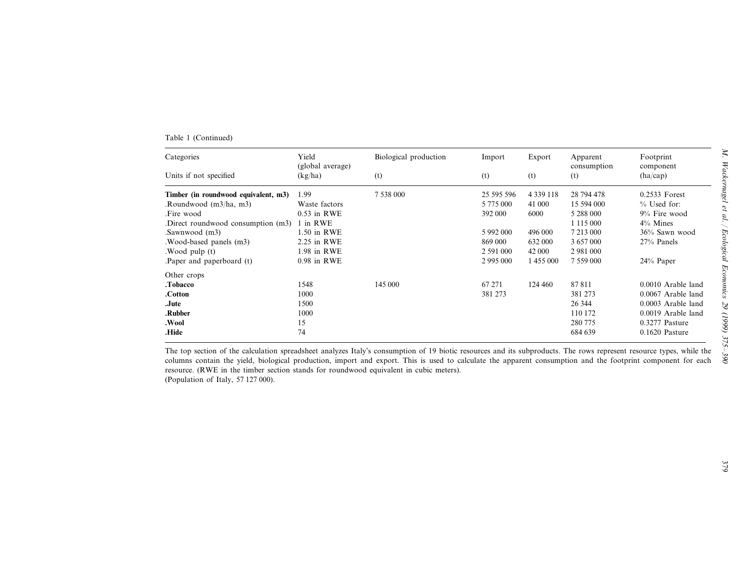| Categories                           | Yield<br>(global average) | Biological production | Import        | Export        | Apparent<br>consumption | Footprint<br>component |
|--------------------------------------|---------------------------|-----------------------|---------------|---------------|-------------------------|------------------------|
| Units if not specified               | (kg/ha)                   | (t)                   | (t)           | (t)           | (t)                     | (ha/cap)               |
| Timber (in roundwood equivalent, m3) | 1.99                      | 7 538 000             | 25 595 596    | 4 3 3 9 1 1 8 | 28 794 478              | $0.2533$ Forest        |
| Roundwood (m3/ha, m3).               | Waste factors             |                       | 5 775 000     | 41 000        | 15 594 000              | $\%$ Used for:         |
| Fire wood.                           | $0.53$ in RWE             |                       | 392 000       | 6000          | 5 288 000               | 9% Fire wood           |
| Direct roundwood consumption (m3).   | 1 in RWE                  |                       |               |               | 1 115 000               | 4% Mines               |
| Sawnwood (m3).                       | 1.50 in RWE               |                       | 5 992 000     | 496 000       | 7 213 000               | 36% Sawn wood          |
| .Wood-based panels (m3)              | 2.25 in RWE               |                       | 869 000       | 632 000       | 3 657 000               | 27% Panels             |
| Wood pulp (t)                        | 1.98 in RWE               |                       | 2 591 000     | 42 000        | 2 981 000               |                        |
| Paper and paperboard (t)             | $0.98$ in RWE             |                       | 2 9 9 5 0 0 0 | 1 455 000     | 7 559 000               | 24% Paper              |
| Other crops                          |                           |                       |               |               |                         |                        |
| .Tobacco                             | 1548                      | 145 000               | 67 271        | 124 460       | 87811                   | 0.0010 Arable land     |
| .Cotton                              | 1000                      |                       | 381 273       |               | 381 273                 | 0.0067 Arable land     |
| .Jute                                | 1500                      |                       |               |               | 26 344                  | 0.0003 Arable land     |
| .Rubber                              | 1000                      |                       |               |               | 110 172                 | 0.0019 Arable land     |
| .Wool                                | 15                        |                       |               |               | 280 775                 | $0.3277$ Pasture       |
| .Hide                                | 74                        |                       |               |               | 684 639                 | 0.1620 Pasture         |

Table 1 (Continued)

.Fire wood

.Wood pulp  $(t)$ .

Other crops **.Tobacco**

**.Cotton**

**.Rubber**

**.Jute**

**.Wool**

**.Hide**

The top section of the calculation spreadsheet analyzes Italy's consumption of 19 biotic resources and its subproducts. The rows represent resource types, while the columns contain the yield, biological production, import and export. This is used to calculate the apparent consumption and the footprint component for each resource. (RWE in the timber section stands for roundwood equivalent in cubic meters). (Population of Italy, 57 127 000).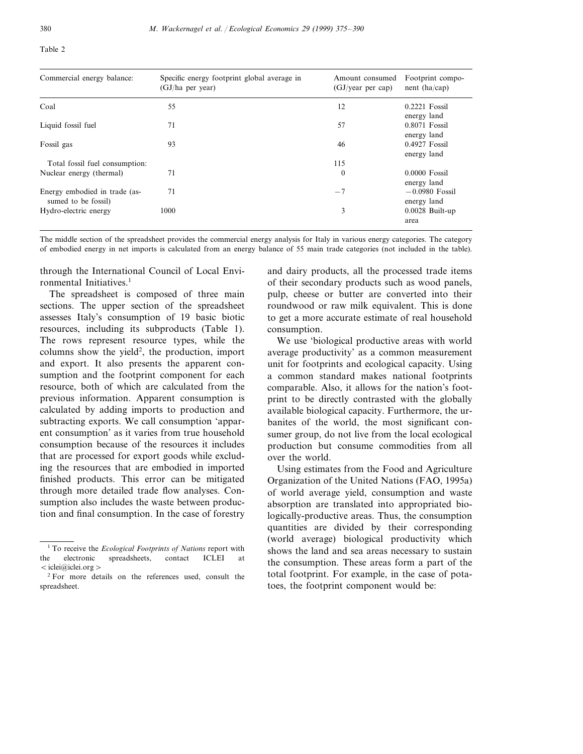| арк |  |
|-----|--|
|-----|--|

| Commercial energy balance:                           | Specific energy footprint global average in<br>$(GJ/ha$ per year) | Amount consumed<br>$(GJ/year$ per cap) | Footprint compo-<br>nent (ha/cap) |
|------------------------------------------------------|-------------------------------------------------------------------|----------------------------------------|-----------------------------------|
| Coal                                                 | 55                                                                | 12                                     | $0.2221$ Fossil<br>energy land    |
| Liquid fossil fuel                                   | 71                                                                | 57                                     | 0.8071 Fossil<br>energy land      |
| Fossil gas                                           | 93                                                                | 46                                     | $0.4927$ Fossil<br>energy land    |
| Total fossil fuel consumption:                       |                                                                   | 115                                    |                                   |
| Nuclear energy (thermal)                             | 71                                                                | $\mathbf{0}$                           | $0.0000$ Fossil<br>energy land    |
| Energy embodied in trade (as-<br>sumed to be fossil) | 71                                                                | $-7$                                   | $-0.0980$ Fossil<br>energy land   |
| Hydro-electric energy                                | 1000                                                              | 3                                      | 0.0028 Built-up<br>area           |

The middle section of the spreadsheet provides the commercial energy analysis for Italy in various energy categories. The category of embodied energy in net imports is calculated from an energy balance of 55 main trade categories (not included in the table).

through the International Council of Local Environmental Initiatives.<sup>1</sup>

The spreadsheet is composed of three main sections. The upper section of the spreadsheet assesses Italy's consumption of 19 basic biotic resources, including its subproducts (Table 1). The rows represent resource types, while the columns show the yield<sup>2</sup>, the production, import and export. It also presents the apparent consumption and the footprint component for each resource, both of which are calculated from the previous information. Apparent consumption is calculated by adding imports to production and subtracting exports. We call consumption 'apparent consumption' as it varies from true household consumption because of the resources it includes that are processed for export goods while excluding the resources that are embodied in imported finished products. This error can be mitigated through more detailed trade flow analyses. Consumption also includes the waste between production and final consumption. In the case of forestry and dairy products, all the processed trade items of their secondary products such as wood panels, pulp, cheese or butter are converted into their roundwood or raw milk equivalent. This is done to get a more accurate estimate of real household consumption.

We use 'biological productive areas with world average productivity' as a common measurement unit for footprints and ecological capacity. Using a common standard makes national footprints comparable. Also, it allows for the nation's footprint to be directly contrasted with the globally available biological capacity. Furthermore, the urbanites of the world, the most significant consumer group, do not live from the local ecological production but consume commodities from all over the world.

Using estimates from the Food and Agriculture Organization of the United Nations (FAO, 1995a) of world average yield, consumption and waste absorption are translated into appropriated biologically-productive areas. Thus, the consumption quantities are divided by their corresponding (world average) biological productivity which shows the land and sea areas necessary to sustain the consumption. These areas form a part of the total footprint. For example, in the case of potatoes, the footprint component would be:

<sup>1</sup> To receive the *Ecological Footprints of Nations* report with the electronic spreadsheets, contact ICLEI at  $\langle$  iclei@iclei.org  $>$ 

<sup>2</sup> For more details on the references used, consult the spreadsheet.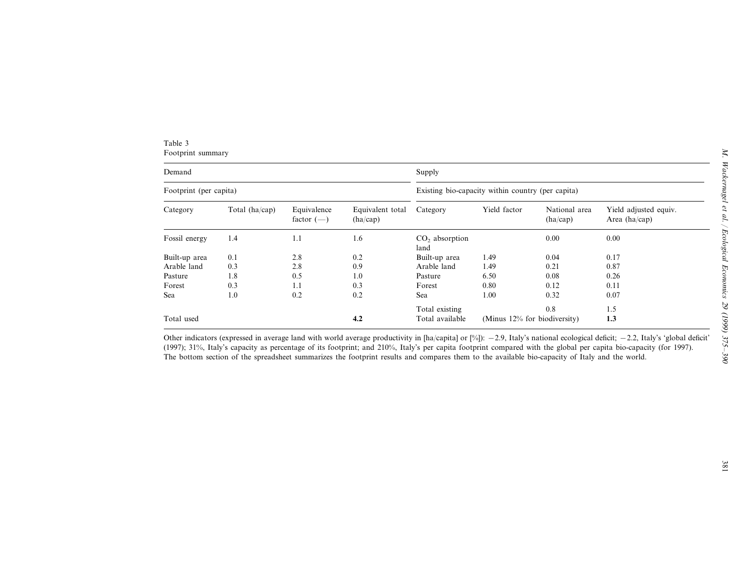| Table 3           |  |
|-------------------|--|
| Footprint summary |  |

| Demand                 |                  |                             |                                                   | Supply                   |                              |                           |                                        |
|------------------------|------------------|-----------------------------|---------------------------------------------------|--------------------------|------------------------------|---------------------------|----------------------------------------|
| Footprint (per capita) |                  |                             | Existing bio-capacity within country (per capita) |                          |                              |                           |                                        |
| Category               | Total $(ha/cap)$ | Equivalence<br>factor $(-)$ | Equivalent total<br>(ha/cap)                      | Category                 | Yield factor                 | National area<br>(ha/cap) | Yield adjusted equiv.<br>Area (ha/cap) |
| Fossil energy          | 1.4              | 1.1                         | 1.6                                               | $CO2$ absorption<br>land |                              | 0.00                      | 0.00                                   |
| Built-up area          | 0.1              | 2.8                         | 0.2                                               | Built-up area            | 1.49                         | 0.04                      | 0.17                                   |
| Arable land            | 0.3              | 2.8                         | 0.9                                               | Arable land              | 1.49                         | 0.21                      | 0.87                                   |
| Pasture                | 1.8              | 0.5                         | 1.0                                               | Pasture                  | 6.50                         | 0.08                      | 0.26                                   |
| Forest                 | 0.3              | 1.1                         | 0.3                                               | Forest                   | 0.80                         | 0.12                      | 0.11                                   |
| Sea                    | 1.0              | 0.2                         | 0.2                                               | Sea                      | 1.00                         | 0.32                      | 0.07                                   |
|                        |                  |                             |                                                   | Total existing           |                              | 0.8                       | 1.5                                    |
| Total used             |                  |                             | 4.2                                               | Total available          | (Minus 12% for biodiversity) |                           | 1.3                                    |

Other indicators (expressed in average land with world average productivity in [ha/capita] or [%]): <sup>−</sup>2.9, Italy's national ecological deficit; <sup>−</sup>2.2, Italy's 'global deficit' (1997); 31%, Italy's capacity as percentage of its footprint; and 210%, Italy's per capita footprint compared with the global per capita bio-capacity (for 1997). The bottom section of the spreadsheet summarizes the footprint results and compares them to the available bio-capacity of Italy and the world.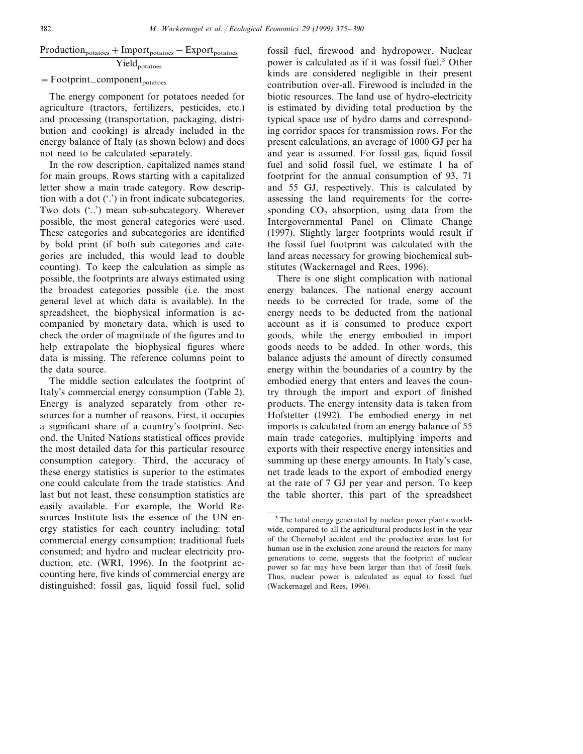$$
\frac{Production_{potatoes} + Import_{potatoes} - Expert_{potatoes}}{Yield_{potatoes}}
$$

# $=$  Footprint  $_{\text{components}}$

The energy component for potatoes needed for agriculture (tractors, fertilizers, pesticides, etc.) and processing (transportation, packaging, distribution and cooking) is already included in the energy balance of Italy (as shown below) and does not need to be calculated separately.

In the row description, capitalized names stand for main groups. Rows starting with a capitalized letter show a main trade category. Row description with a dot ('.') in front indicate subcategories. Two dots ('..') mean sub-subcategory. Wherever possible, the most general categories were used. These categories and subcategories are identified by bold print (if both sub categories and categories are included, this would lead to double counting). To keep the calculation as simple as possible, the footprints are always estimated using the broadest categories possible (i.e. the most general level at which data is available). In the spreadsheet, the biophysical information is accompanied by monetary data, which is used to check the order of magnitude of the figures and to help extrapolate the biophysical figures where data is missing. The reference columns point to the data source.

The middle section calculates the footprint of Italy's commercial energy consumption (Table 2). Energy is analyzed separately from other resources for a number of reasons. First, it occupies a significant share of a country's footprint. Second, the United Nations statistical offices provide the most detailed data for this particular resource consumption category. Third, the accuracy of these energy statistics is superior to the estimates one could calculate from the trade statistics. And last but not least, these consumption statistics are easily available. For example, the World Resources Institute lists the essence of the UN energy statistics for each country including: total commercial energy consumption; traditional fuels consumed; and hydro and nuclear electricity production, etc. (WRI, 1996). In the footprint accounting here, five kinds of commercial energy are distinguished: fossil gas, liquid fossil fuel, solid fossil fuel, firewood and hydropower. Nuclear power is calculated as if it was fossil fuel.3 Other kinds are considered negligible in their present contribution over-all. Firewood is included in the biotic resources. The land use of hydro-electricity is estimated by dividing total production by the typical space use of hydro dams and corresponding corridor spaces for transmission rows. For the present calculations, an average of 1000 GJ per ha and year is assumed. For fossil gas, liquid fossil fuel and solid fossil fuel, we estimate 1 ha of footprint for the annual consumption of 93, 71 and 55 GJ, respectively. This is calculated by assessing the land requirements for the corresponding  $CO<sub>2</sub>$  absorption, using data from the Intergovernmental Panel on Climate Change (1997). Slightly larger footprints would result if the fossil fuel footprint was calculated with the land areas necessary for growing biochemical substitutes (Wackernagel and Rees, 1996).

There is one slight complication with national energy balances. The national energy account needs to be corrected for trade, some of the energy needs to be deducted from the national account as it is consumed to produce export goods, while the energy embodied in import goods needs to be added. In other words, this balance adjusts the amount of directly consumed energy within the boundaries of a country by the embodied energy that enters and leaves the country through the import and export of finished products. The energy intensity data is taken from Hofstetter (1992). The embodied energy in net imports is calculated from an energy balance of 55 main trade categories, multiplying imports and exports with their respective energy intensities and summing up these energy amounts. In Italy's case, net trade leads to the export of embodied energy at the rate of 7 GJ per year and person. To keep the table shorter, this part of the spreadsheet

<sup>&</sup>lt;sup>3</sup> The total energy generated by nuclear power plants worldwide, compared to all the agricultural products lost in the year of the Chernobyl accident and the productive areas lost for human use in the exclusion zone around the reactors for many generations to come, suggests that the footprint of nuclear power so far may have been larger than that of fossil fuels. Thus, nuclear power is calculated as equal to fossil fuel (Wackernagel and Rees, 1996).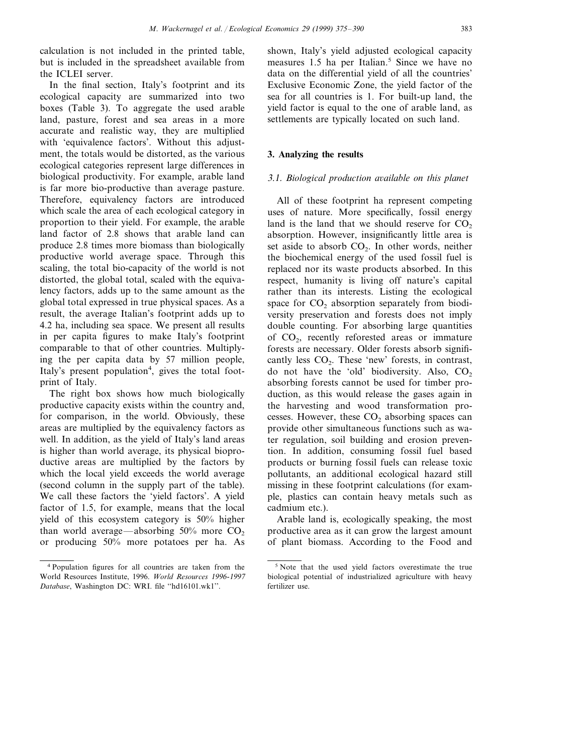calculation is not included in the printed table, but is included in the spreadsheet available from the ICLEI server.

In the final section, Italy's footprint and its ecological capacity are summarized into two boxes (Table 3). To aggregate the used arable land, pasture, forest and sea areas in a more accurate and realistic way, they are multiplied with 'equivalence factors'. Without this adjustment, the totals would be distorted, as the various ecological categories represent large differences in biological productivity. For example, arable land is far more bio-productive than average pasture. Therefore, equivalency factors are introduced which scale the area of each ecological category in proportion to their yield. For example, the arable land factor of 2.8 shows that arable land can produce 2.8 times more biomass than biologically productive world average space. Through this scaling, the total bio-capacity of the world is not distorted, the global total, scaled with the equivalency factors, adds up to the same amount as the global total expressed in true physical spaces. As a result, the average Italian's footprint adds up to 4.2 ha, including sea space. We present all results in per capita figures to make Italy's footprint comparable to that of other countries. Multiplying the per capita data by 57 million people, Italy's present population<sup>4</sup>, gives the total footprint of Italy.

The right box shows how much biologically productive capacity exists within the country and, for comparison, in the world. Obviously, these areas are multiplied by the equivalency factors as well. In addition, as the yield of Italy's land areas is higher than world average, its physical bioproductive areas are multiplied by the factors by which the local yield exceeds the world average (second column in the supply part of the table). We call these factors the 'yield factors'. A yield factor of 1.5, for example, means that the local yield of this ecosystem category is 50% higher than world average—absorbing  $50\%$  more CO<sub>2</sub> or producing 50% more potatoes per ha. As

shown, Italy's yield adjusted ecological capacity measures 1.5 ha per Italian.<sup>5</sup> Since we have no data on the differential yield of all the countries' Exclusive Economic Zone, the yield factor of the sea for all countries is 1. For built-up land, the yield factor is equal to the one of arable land, as settlements are typically located on such land.

#### **3. Analyzing the results**

#### 3.1. *Biological production a*6*ailable on this planet*

All of these footprint ha represent competing uses of nature. More specifically, fossil energy land is the land that we should reserve for  $CO<sub>2</sub>$ absorption. However, insignificantly little area is set aside to absorb  $CO<sub>2</sub>$ . In other words, neither the biochemical energy of the used fossil fuel is replaced nor its waste products absorbed. In this respect, humanity is living off nature's capital rather than its interests. Listing the ecological space for  $CO<sub>2</sub>$  absorption separately from biodiversity preservation and forests does not imply double counting. For absorbing large quantities of  $CO<sub>2</sub>$ , recently reforested areas or immature forests are necessary. Older forests absorb significantly less  $CO<sub>2</sub>$ . These 'new' forests, in contrast, do not have the 'old' biodiversity. Also,  $CO<sub>2</sub>$ absorbing forests cannot be used for timber production, as this would release the gases again in the harvesting and wood transformation processes. However, these  $CO<sub>2</sub>$  absorbing spaces can provide other simultaneous functions such as water regulation, soil building and erosion prevention. In addition, consuming fossil fuel based products or burning fossil fuels can release toxic pollutants, an additional ecological hazard still missing in these footprint calculations (for example, plastics can contain heavy metals such as cadmium etc.).

Arable land is, ecologically speaking, the most productive area as it can grow the largest amount of plant biomass. According to the Food and

<sup>4</sup> Population figures for all countries are taken from the World Resources Institute, 1996. *World Resources* 1996-1997 *Database*, Washington DC: WRI. file ''hd16101.wk1''.

<sup>&</sup>lt;sup>5</sup> Note that the used yield factors overestimate the true biological potential of industrialized agriculture with heavy fertilizer use.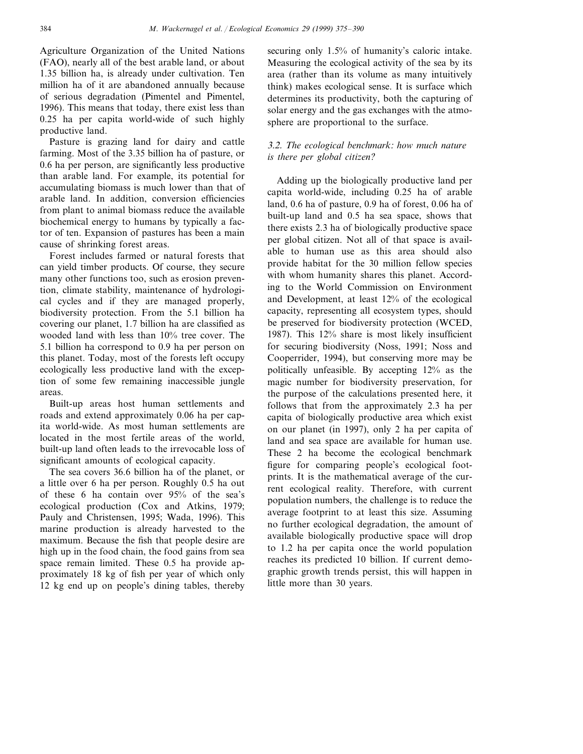Agriculture Organization of the United Nations (FAO), nearly all of the best arable land, or about 1.35 billion ha, is already under cultivation. Ten million ha of it are abandoned annually because of serious degradation (Pimentel and Pimentel, 1996). This means that today, there exist less than 0.25 ha per capita world-wide of such highly productive land.

Pasture is grazing land for dairy and cattle farming. Most of the 3.35 billion ha of pasture, or 0.6 ha per person, are significantly less productive than arable land. For example, its potential for accumulating biomass is much lower than that of arable land. In addition, conversion efficiencies from plant to animal biomass reduce the available biochemical energy to humans by typically a factor of ten. Expansion of pastures has been a main cause of shrinking forest areas.

Forest includes farmed or natural forests that can yield timber products. Of course, they secure many other functions too, such as erosion prevention, climate stability, maintenance of hydrological cycles and if they are managed properly, biodiversity protection. From the 5.1 billion ha covering our planet, 1.7 billion ha are classified as wooded land with less than 10% tree cover. The 5.1 billion ha correspond to 0.9 ha per person on this planet. Today, most of the forests left occupy ecologically less productive land with the exception of some few remaining inaccessible jungle areas.

Built-up areas host human settlements and roads and extend approximately 0.06 ha per capita world-wide. As most human settlements are located in the most fertile areas of the world, built-up land often leads to the irrevocable loss of significant amounts of ecological capacity.

The sea covers 36.6 billion ha of the planet, or a little over 6 ha per person. Roughly 0.5 ha out of these 6 ha contain over 95% of the sea's ecological production (Cox and Atkins, 1979; Pauly and Christensen, 1995; Wada, 1996). This marine production is already harvested to the maximum. Because the fish that people desire are high up in the food chain, the food gains from sea space remain limited. These 0.5 ha provide approximately 18 kg of fish per year of which only 12 kg end up on people's dining tables, thereby securing only 1.5% of humanity's caloric intake. Measuring the ecological activity of the sea by its area (rather than its volume as many intuitively think) makes ecological sense. It is surface which determines its productivity, both the capturing of solar energy and the gas exchanges with the atmosphere are proportional to the surface.

# 3.2. *The ecological benchmark*: *how much nature is there per global citizen*?

Adding up the biologically productive land per capita world-wide, including 0.25 ha of arable land, 0.6 ha of pasture, 0.9 ha of forest, 0.06 ha of built-up land and 0.5 ha sea space, shows that there exists 2.3 ha of biologically productive space per global citizen. Not all of that space is available to human use as this area should also provide habitat for the 30 million fellow species with whom humanity shares this planet. According to the World Commission on Environment and Development, at least 12% of the ecological capacity, representing all ecosystem types, should be preserved for biodiversity protection (WCED, 1987). This 12% share is most likely insufficient for securing biodiversity (Noss, 1991; Noss and Cooperrider, 1994), but conserving more may be politically unfeasible. By accepting 12% as the magic number for biodiversity preservation, for the purpose of the calculations presented here, it follows that from the approximately 2.3 ha per capita of biologically productive area which exist on our planet (in 1997), only 2 ha per capita of land and sea space are available for human use. These 2 ha become the ecological benchmark figure for comparing people's ecological footprints. It is the mathematical average of the current ecological reality. Therefore, with current population numbers, the challenge is to reduce the average footprint to at least this size. Assuming no further ecological degradation, the amount of available biologically productive space will drop to 1.2 ha per capita once the world population reaches its predicted 10 billion. If current demographic growth trends persist, this will happen in little more than 30 years.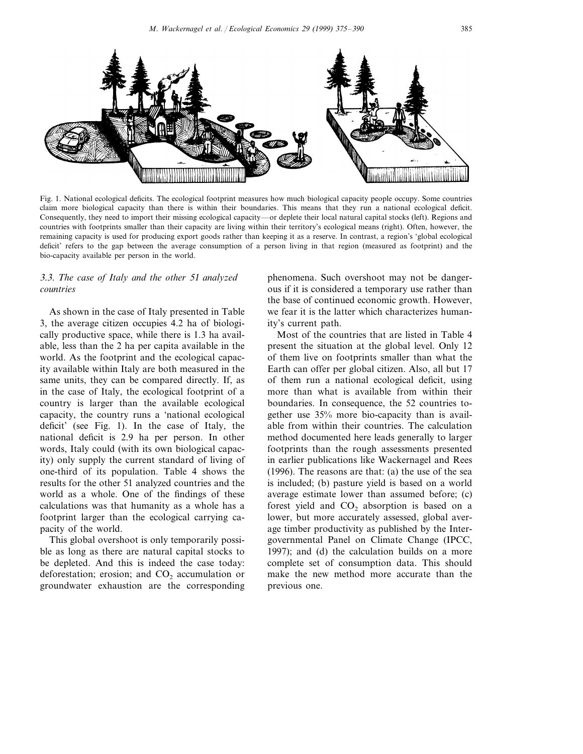

Fig. 1. National ecological deficits. The ecological footprint measures how much biological capacity people occupy. Some countries claim more biological capacity than there is within their boundaries. This means that they run a national ecological deficit. Consequently, they need to import their missing ecological capacity—or deplete their local natural capital stocks (left). Regions and countries with footprints smaller than their capacity are living within their territory's ecological means (right). Often, however, the remaining capacity is used for producing export goods rather than keeping it as a reserve. In contrast, a region's 'global ecological deficit' refers to the gap between the average consumption of a person living in that region (measured as footprint) and the bio-capacity available per person in the world.

## 3.3. *The case of Italy and the other* 51 *analyzed countries*

As shown in the case of Italy presented in Table 3, the average citizen occupies 4.2 ha of biologically productive space, while there is 1.3 ha available, less than the 2 ha per capita available in the world. As the footprint and the ecological capacity available within Italy are both measured in the same units, they can be compared directly. If, as in the case of Italy, the ecological footprint of a country is larger than the available ecological capacity, the country runs a 'national ecological deficit' (see Fig. 1). In the case of Italy, the national deficit is 2.9 ha per person. In other words, Italy could (with its own biological capacity) only supply the current standard of living of one-third of its population. Table 4 shows the results for the other 51 analyzed countries and the world as a whole. One of the findings of these calculations was that humanity as a whole has a footprint larger than the ecological carrying capacity of the world.

This global overshoot is only temporarily possible as long as there are natural capital stocks to be depleted. And this is indeed the case today: deforestation; erosion; and  $CO<sub>2</sub>$  accumulation or groundwater exhaustion are the corresponding phenomena. Such overshoot may not be dangerous if it is considered a temporary use rather than the base of continued economic growth. However, we fear it is the latter which characterizes humanity's current path.

Most of the countries that are listed in Table 4 present the situation at the global level. Only 12 of them live on footprints smaller than what the Earth can offer per global citizen. Also, all but 17 of them run a national ecological deficit, using more than what is available from within their boundaries. In consequence, the 52 countries together use 35% more bio-capacity than is available from within their countries. The calculation method documented here leads generally to larger footprints than the rough assessments presented in earlier publications like Wackernagel and Rees (1996). The reasons are that: (a) the use of the sea is included; (b) pasture yield is based on a world average estimate lower than assumed before; (c) forest yield and  $CO<sub>2</sub>$  absorption is based on a lower, but more accurately assessed, global average timber productivity as published by the Intergovernmental Panel on Climate Change (IPCC, 1997); and (d) the calculation builds on a more complete set of consumption data. This should make the new method more accurate than the previous one.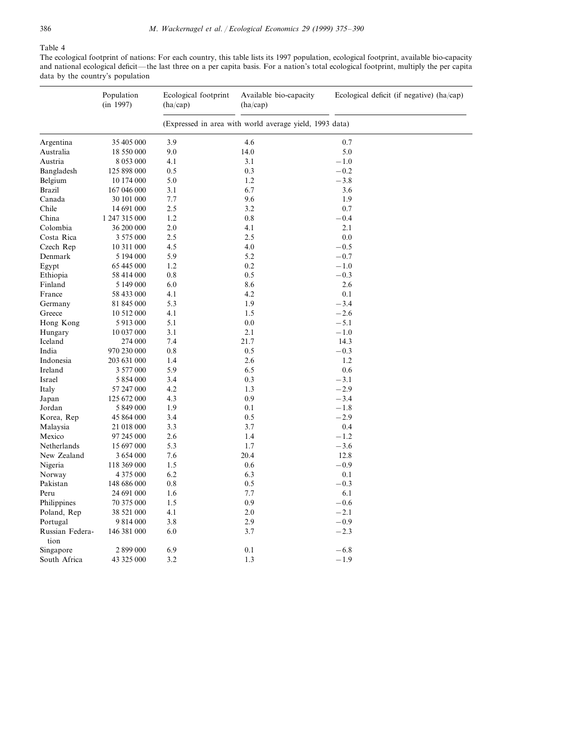#### Table 4

The ecological footprint of nations: For each country, this table lists its 1997 population, ecological footprint, available bio-capacity and national ecological deficit—the last three on a per capita basis. For a nation's total ecological footprint, multiply the per capita data by the country's population

|                 | Population<br>(in 1997) | Ecological footprint<br>(ha/cap) | Available bio-capacity<br>(ha/cap)                      | Ecological deficit (if negative) $(ha/cap)$ |  |
|-----------------|-------------------------|----------------------------------|---------------------------------------------------------|---------------------------------------------|--|
|                 |                         |                                  | (Expressed in area with world average yield, 1993 data) |                                             |  |
| Argentina       | 35 405 000              | 3.9                              | 4.6                                                     | 0.7                                         |  |
| Australia       | 18 550 000              | 9.0                              | 14.0                                                    | 5.0                                         |  |
| Austria         | 8 0 5 3 0 0 0           | 4.1                              | 3.1                                                     | $-1.0$                                      |  |
| Bangladesh      | 125 898 000             | 0.5                              | 0.3                                                     | $-0.2$                                      |  |
| Belgium         | 10 174 000              | 5.0                              | 1.2                                                     | $-3.8$                                      |  |
| <b>Brazil</b>   | 167 046 000             | 3.1                              | 6.7                                                     | 3.6                                         |  |
| Canada          | 30 101 000              | 7.7                              | 9.6                                                     | 1.9                                         |  |
| Chile           | 14 691 000              | 2.5                              | 3.2                                                     | 0.7                                         |  |
| China           | 1 247 315 000           | 1.2                              | 0.8                                                     | $-0.4$                                      |  |
| Colombia        | 36 200 000              | 2.0                              | 4.1                                                     | 2.1                                         |  |
| Costa Rica      | 3 575 000               | 2.5                              | 2.5                                                     | 0.0                                         |  |
| Czech Rep       | 10 311 000              | 4.5                              | 4.0                                                     | $-0.5$                                      |  |
| Denmark         | 5 194 000               | 5.9                              | 5.2                                                     | $-0.7$                                      |  |
| Egypt           | 65 445 000              | 1.2                              | 0.2                                                     | $-1.0$                                      |  |
| Ethiopia        | 58 414 000              | 0.8                              | 0.5                                                     | $-0.3$                                      |  |
| Finland         | 5 149 000               | 6.0                              | 8.6                                                     | 2.6                                         |  |
| France          | 58 433 000              | 4.1                              | 4.2                                                     | 0.1                                         |  |
| Germany         | 81 845 000              | 5.3                              | 1.9                                                     | $-3.4$                                      |  |
| Greece          | 10 512 000              | 4.1                              | 1.5                                                     | $-2.6$                                      |  |
| Hong Kong       | 5913000                 | 5.1                              | 0.0                                                     | $-5.1$                                      |  |
| Hungary         | 10 037 000              | 3.1                              | 2.1                                                     | $-1.0$                                      |  |
| Iceland         | 274 000                 | 7.4                              | 21.7                                                    | 14.3                                        |  |
| India           | 970 230 000             | 0.8                              | 0.5                                                     | $-0.3$                                      |  |
| Indonesia       | 203 631 000             | 1.4                              | 2.6                                                     | 1.2                                         |  |
| Ireland         | 3 577 000               | 5.9                              | 6.5                                                     | 0.6                                         |  |
| Israel          | 5 854 000               | 3.4                              | 0.3                                                     | $-3.1$                                      |  |
| Italy           | 57 247 000              | 4.2                              | 1.3                                                     | $-2.9$                                      |  |
| Japan           | 125 672 000             | 4.3                              | 0.9                                                     | $-3.4$                                      |  |
| Jordan          | 5 849 000               | 1.9                              | 0.1                                                     | $-1.8$                                      |  |
| Korea, Rep      | 45 864 000              | 3.4                              | 0.5                                                     | $-2.9$                                      |  |
| Malaysia        | 21 018 000              | 3.3                              | 3.7                                                     | 0.4                                         |  |
| Mexico          | 97 245 000              | 2.6                              | 1.4                                                     | $-1.2$                                      |  |
| Netherlands     | 15 697 000              | 5.3                              | 1.7                                                     | $-3.6$                                      |  |
| New Zealand     | 3 654 000               | 7.6                              | 20.4                                                    | 12.8                                        |  |
| Nigeria         | 118 369 000             | 1.5                              | 0.6                                                     | $-0.9$                                      |  |
| Norway          | 4 375 000               | 6.2                              | 6.3                                                     | 0.1                                         |  |
| Pakistan        | 148 686 000             | 0.8                              | 0.5                                                     | $-0.3$                                      |  |
| Peru            | 24 691 000              | 1.6                              | 7.7                                                     | 6.1                                         |  |
| Philippines     | 70 375 000              | 1.5                              | 0.9                                                     | $-0.6$                                      |  |
| Poland, Rep     | 38 521 000              | 4.1                              | 2.0                                                     | $-2.1$                                      |  |
| Portugal        | 9 8 14 0 00             | 3.8                              | 2.9                                                     | $-0.9$                                      |  |
| Russian Federa- | 146 381 000             | 6.0                              | 3.7                                                     | $-2.3$                                      |  |
| tion            |                         |                                  |                                                         |                                             |  |
| Singapore       | 2 899 000               | 6.9                              | 0.1                                                     | $-6.8$                                      |  |
| South Africa    | 43 325 000              | 3.2                              | 1.3                                                     | $-1.9$                                      |  |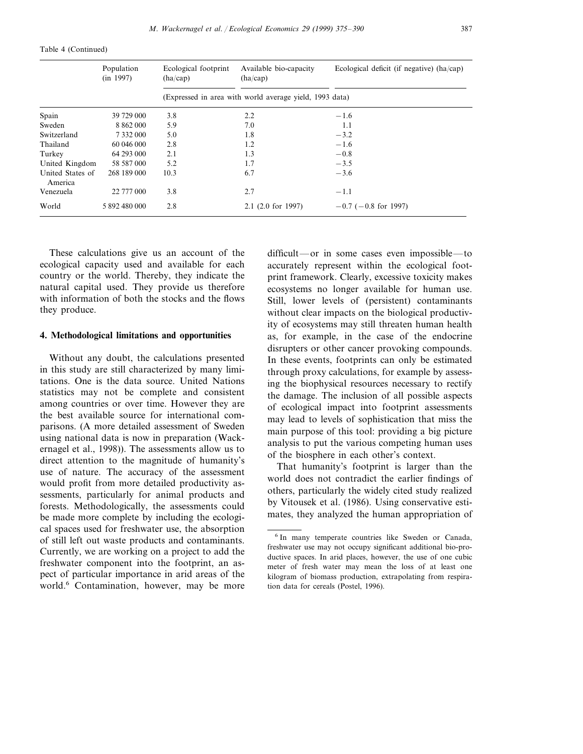Table 4 (Continued)

|                             | Population<br>(in 1997) | Ecological footprint<br>(ha/cap) | Available bio-capacity<br>(ha/cap)                      | Ecological deficit (if negative) $(ha/cap)$ |
|-----------------------------|-------------------------|----------------------------------|---------------------------------------------------------|---------------------------------------------|
|                             |                         |                                  | (Expressed in area with world average yield, 1993 data) |                                             |
| Spain                       | 39 729 000              | 3.8                              | 2.2                                                     | $-1.6$                                      |
| Sweden                      | 8 862 000               | 5.9                              | 7.0                                                     | 1.1                                         |
| Switzerland                 | 7 332 000               | 5.0                              | 1.8                                                     | $-3.2$                                      |
| Thailand                    | 60 046 000              | 2.8                              | 1.2                                                     | $-1.6$                                      |
| Turkey                      | 64 293 000              | 2.1                              | 1.3                                                     | $-0.8$                                      |
| United Kingdom              | 58 587 000              | 5.2                              | 1.7                                                     | $-3.5$                                      |
| United States of<br>America | 268 189 000             | 10.3                             | 6.7                                                     | $-3.6$                                      |
| Venezuela                   | 22 777 000              | 3.8                              | 2.7                                                     | $-1.1$                                      |
| World                       | 5 892 480 000           | 2.8                              | $2.1$ (2.0 for 1997)                                    | $-0.7$ ( $-0.8$ for 1997)                   |

These calculations give us an account of the ecological capacity used and available for each country or the world. Thereby, they indicate the natural capital used. They provide us therefore with information of both the stocks and the flows they produce.

#### **4. Methodological limitations and opportunities**

Without any doubt, the calculations presented in this study are still characterized by many limitations. One is the data source. United Nations statistics may not be complete and consistent among countries or over time. However they are the best available source for international comparisons. (A more detailed assessment of Sweden using national data is now in preparation (Wackernagel et al., 1998)). The assessments allow us to direct attention to the magnitude of humanity's use of nature. The accuracy of the assessment would profit from more detailed productivity assessments, particularly for animal products and forests. Methodologically, the assessments could be made more complete by including the ecological spaces used for freshwater use, the absorption of still left out waste products and contaminants. Currently, we are working on a project to add the freshwater component into the footprint, an aspect of particular importance in arid areas of the world.<sup>6</sup> Contamination, however, may be more difficult—or in some cases even impossible—to accurately represent within the ecological footprint framework. Clearly, excessive toxicity makes ecosystems no longer available for human use. Still, lower levels of (persistent) contaminants without clear impacts on the biological productivity of ecosystems may still threaten human health as, for example, in the case of the endocrine disrupters or other cancer provoking compounds. In these events, footprints can only be estimated through proxy calculations, for example by assessing the biophysical resources necessary to rectify the damage. The inclusion of all possible aspects of ecological impact into footprint assessments may lead to levels of sophistication that miss the main purpose of this tool: providing a big picture analysis to put the various competing human uses of the biosphere in each other's context.

That humanity's footprint is larger than the world does not contradict the earlier findings of others, particularly the widely cited study realized by Vitousek et al. (1986). Using conservative estimates, they analyzed the human appropriation of

<sup>&</sup>lt;sup>6</sup> In many temperate countries like Sweden or Canada, freshwater use may not occupy significant additional bio-productive spaces. In arid places, however, the use of one cubic meter of fresh water may mean the loss of at least one kilogram of biomass production, extrapolating from respiration data for cereals (Postel, 1996).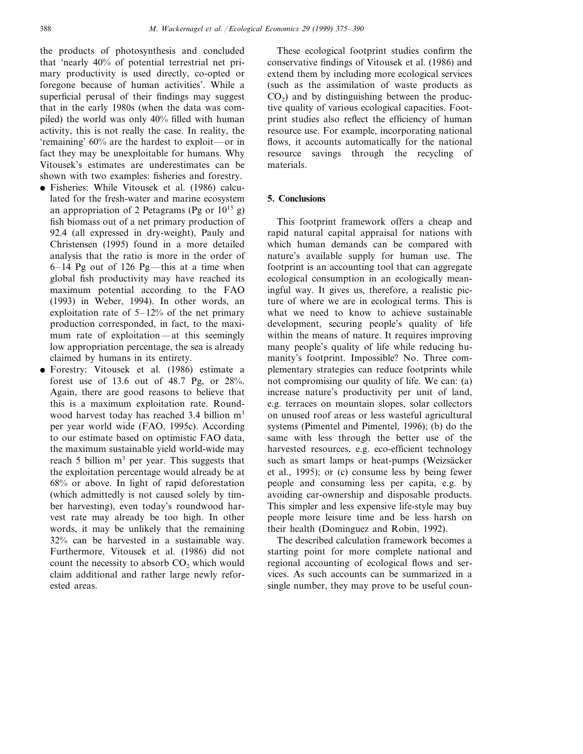the products of photosynthesis and concluded that 'nearly 40% of potential terrestrial net primary productivity is used directly, co-opted or foregone because of human activities'. While a superficial perusal of their findings may suggest that in the early 1980s (when the data was compiled) the world was only 40% filled with human activity, this is not really the case. In reality, the 'remaining' 60% are the hardest to exploit—or in fact they may be unexploitable for humans. Why Vitousek's estimates are underestimates can be shown with two examples: fisheries and forestry.

- Fisheries: While Vitousek et al. (1986) calculated for the fresh-water and marine ecosystem an appropriation of 2 Petagrams (Pg or  $10^{15}$  g) fish biomass out of a net primary production of 92.4 (all expressed in dry-weight), Pauly and Christensen (1995) found in a more detailed analysis that the ratio is more in the order of 6–14 Pg out of 126 Pg—this at a time when global fish productivity may have reached its maximum potential according to the FAO (1993) in Weber, 1994). In other words, an exploitation rate of  $5-12%$  of the net primary production corresponded, in fact, to the maximum rate of exploitation—at this seemingly low appropriation percentage, the sea is already claimed by humans in its entirety.
- Forestry: Vitousek et al. (1986) estimate a forest use of 13.6 out of  $48.7$  Pg, or  $28\%$ . Again, there are good reasons to believe that this is a maximum exploitation rate. Roundwood harvest today has reached 3.4 billion m<sup>3</sup> per year world wide (FAO, 1995c). According to our estimate based on optimistic FAO data, the maximum sustainable yield world-wide may reach 5 billion  $m<sup>3</sup>$  per year. This suggests that the exploitation percentage would already be at 68% or above. In light of rapid deforestation (which admittedly is not caused solely by timber harvesting), even today's roundwood harvest rate may already be too high. In other words, it may be unlikely that the remaining 32% can be harvested in a sustainable way. Furthermore, Vitousek et al. (1986) did not count the necessity to absorb  $CO<sub>2</sub>$  which would claim additional and rather large newly reforested areas.

These ecological footprint studies confirm the conservative findings of Vitousek et al. (1986) and extend them by including more ecological services (such as the assimilation of waste products as  $CO<sub>2</sub>$ ) and by distinguishing between the productive quality of various ecological capacities. Footprint studies also reflect the efficiency of human resource use. For example, incorporating national flows, it accounts automatically for the national resource savings through the recycling of materials.

### **5. Conclusions**

This footprint framework offers a cheap and rapid natural capital appraisal for nations with which human demands can be compared with nature's available supply for human use. The footprint is an accounting tool that can aggregate ecological consumption in an ecologically meaningful way. It gives us, therefore, a realistic picture of where we are in ecological terms. This is what we need to know to achieve sustainable development, securing people's quality of life within the means of nature. It requires improving many people's quality of life while reducing humanity's footprint. Impossible? No. Three complementary strategies can reduce footprints while not compromising our quality of life. We can: (a) increase nature's productivity per unit of land, e.g. terraces on mountain slopes, solar collectors on unused roof areas or less wasteful agricultural systems (Pimentel and Pimentel, 1996); (b) do the same with less through the better use of the harvested resources, e.g. eco-efficient technology such as smart lamps or heat-pumps (Weizsäcker et al., 1995); or (c) consume less by being fewer people and consuming less per capita, e.g. by avoiding car-ownership and disposable products. This simpler and less expensive life-style may buy people more leisure time and be less harsh on their health (Dominguez and Robin, 1992).

The described calculation framework becomes a starting point for more complete national and regional accounting of ecological flows and services. As such accounts can be summarized in a single number, they may prove to be useful coun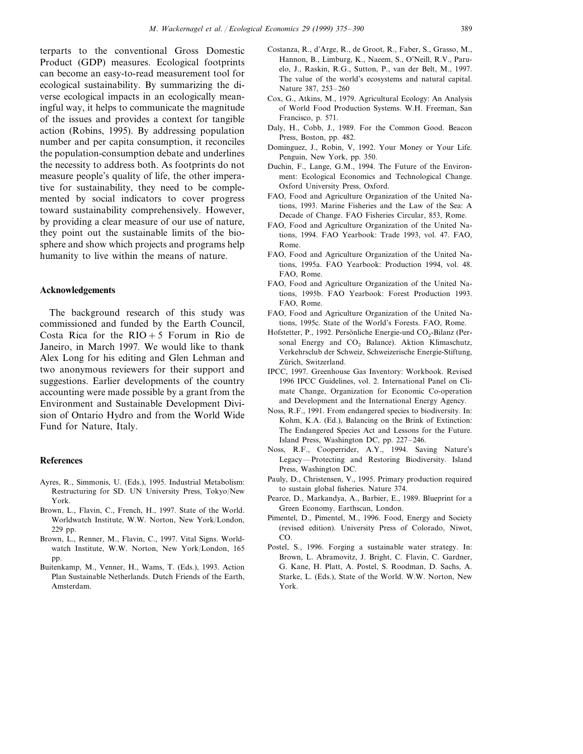terparts to the conventional Gross Domestic Product (GDP) measures. Ecological footprints can become an easy-to-read measurement tool for ecological sustainability. By summarizing the diverse ecological impacts in an ecologically meaningful way, it helps to communicate the magnitude of the issues and provides a context for tangible action (Robins, 1995). By addressing population number and per capita consumption, it reconciles the population-consumption debate and underlines the necessity to address both. As footprints do not measure people's quality of life, the other imperative for sustainability, they need to be complemented by social indicators to cover progress toward sustainability comprehensively. However, by providing a clear measure of our use of nature, they point out the sustainable limits of the biosphere and show which projects and programs help humanity to live within the means of nature.

#### **Acknowledgements**

The background research of this study was commissioned and funded by the Earth Council, Costa Rica for the  $RIO + 5$  Forum in Rio de Janeiro, in March 1997. We would like to thank Alex Long for his editing and Glen Lehman and two anonymous reviewers for their support and suggestions. Earlier developments of the country accounting were made possible by a grant from the Environment and Sustainable Development Division of Ontario Hydro and from the World Wide Fund for Nature, Italy.

#### **References**

- Ayres, R., Simmonis, U. (Eds.), 1995. Industrial Metabolism: Restructuring for SD. UN University Press, Tokyo/New York.
- Brown, L., Flavin, C., French, H., 1997. State of the World. Worldwatch Institute, W.W. Norton, New York/London, 229 pp.
- Brown, L., Renner, M., Flavin, C., 1997. Vital Signs. Worldwatch Institute, W.W. Norton, New York/London, 165 pp.
- Buitenkamp, M., Venner, H., Wams, T. (Eds.), 1993. Action Plan Sustainable Netherlands. Dutch Friends of the Earth, Amsterdam.
- Costanza, R., d'Arge, R., de Groot, R., Faber, S., Grasso, M., Hannon, B., Limburg, K., Naeem, S., O'Neill, R.V., Paruelo, J., Raskin, R.G., Sutton, P., van der Belt, M., 1997. The value of the world's ecosystems and natural capital. Nature 387, 253–260
- Cox, G., Atkins, M., 1979. Agricultural Ecology: An Analysis of World Food Production Systems. W.H. Freeman, San Francisco, p. 571.
- Daly, H., Cobb, J., 1989. For the Common Good. Beacon Press, Boston, pp. 482.
- Dominguez, J., Robin, V, 1992. Your Money or Your Life. Penguin, New York, pp. 350.
- Duchin, F., Lange, G.M., 1994. The Future of the Environment: Ecological Economics and Technological Change. Oxford University Press, Oxford.
- FAO, Food and Agriculture Organization of the United Nations, 1993. Marine Fisheries and the Law of the Sea: A Decade of Change. FAO Fisheries Circular, 853, Rome.
- FAO, Food and Agriculture Organization of the United Nations, 1994. FAO Yearbook: Trade 1993, vol. 47. FAO, Rome.
- FAO, Food and Agriculture Organization of the United Nations, 1995a. FAO Yearbook: Production 1994, vol. 48. FAO, Rome.
- FAO, Food and Agriculture Organization of the United Nations, 1995b. FAO Yearbook: Forest Production 1993. FAO, Rome.
- FAO, Food and Agriculture Organization of the United Nations, 1995c. State of the World's Forests. FAO, Rome.
- Hofstetter, P., 1992. Persönliche Energie-und CO<sub>2</sub>-Bilanz (Personal Energy and CO<sub>2</sub> Balance). Aktion Klimaschutz, Verkehrsclub der Schweiz, Schweizerische Energie-Stiftung, Zürich, Switzerland.
- IPCC, 1997. Greenhouse Gas Inventory: Workbook. Revised 1996 IPCC Guidelines, vol. 2. International Panel on Climate Change, Organization for Economic Co-operation and Development and the International Energy Agency.
- Noss, R.F., 1991. From endangered species to biodiversity. In: Kohm, K.A. (Ed.), Balancing on the Brink of Extinction: The Endangered Species Act and Lessons for the Future. Island Press, Washington DC, pp. 227–246.
- Noss, R.F., Cooperrider, A.Y., 1994. Saving Nature's Legacy—Protecting and Restoring Biodiversity. Island Press, Washington DC.
- Pauly, D., Christensen, V., 1995. Primary production required to sustain global fisheries. Nature 374.
- Pearce, D., Markandya, A., Barbier, E., 1989. Blueprint for a Green Economy. Earthscan, London.
- Pimentel, D., Pimentel, M., 1996. Food, Energy and Society (revised edition). University Press of Colorado, Niwot, CO.
- Postel, S., 1996. Forging a sustainable water strategy. In: Brown, L. Abramovitz, J. Bright, C. Flavin, C. Gardner, G. Kane, H. Platt, A. Postel, S. Roodman, D. Sachs, A. Starke, L. (Eds.), State of the World. W.W. Norton, New . York.